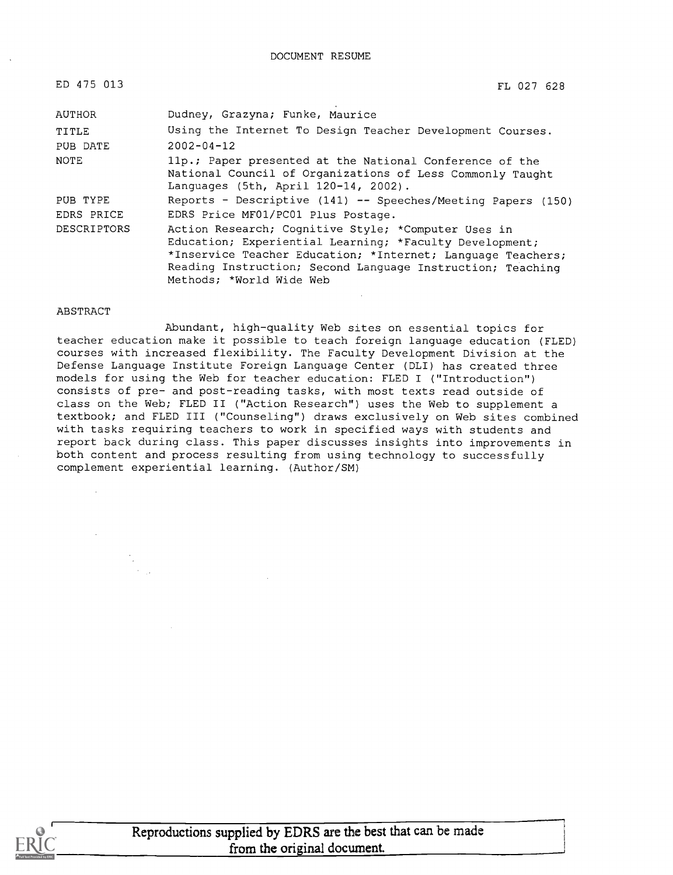DOCUMENT RESUME

| ED 475 013  | FL 027 628                                                                                                                                                                                                                                                              |
|-------------|-------------------------------------------------------------------------------------------------------------------------------------------------------------------------------------------------------------------------------------------------------------------------|
| AUTHOR      | Dudney, Grazyna; Funke, Maurice                                                                                                                                                                                                                                         |
| TITLE       | Using the Internet To Design Teacher Development Courses.                                                                                                                                                                                                               |
| PUB DATE    | $2002 - 04 - 12$                                                                                                                                                                                                                                                        |
| <b>NOTE</b> | 11p.; Paper presented at the National Conference of the<br>National Council of Organizations of Less Commonly Taught<br>Languages (5th, April 120-14, 2002).                                                                                                            |
| PUB TYPE    | Reports - Descriptive (141) -- Speeches/Meeting Papers (150)                                                                                                                                                                                                            |
| EDRS PRICE  | EDRS Price MF01/PC01 Plus Postage.                                                                                                                                                                                                                                      |
| DESCRIPTORS | Action Research; Cognitive Style; *Computer Uses in<br>Education; Experiential Learning; *Faculty Development;<br>*Inservice Teacher Education; *Internet; Language Teachers;<br>Reading Instruction; Second Language Instruction; Teaching<br>Methods; *World Wide Web |

#### ABSTRACT

Abundant, high-quality Web sites on essential topics for teacher education make it possible to teach foreign language education (FLED) courses with increased flexibility. The Faculty Development Division at the Defense Language Institute Foreign Language Center (DLI) has created three models for using the Web for teacher education: FLED I ("Introduction") consists of pre- and post-reading tasks, with most texts read outside of class on the Web; FLED II ("Action Research") uses the Web to supplement a textbook; and FLED III ("Counseling") draws exclusively on Web sites combined with tasks requiring teachers to work in specified ways with students and report back during class. This paper discusses insights into improvements in both content and process resulting from using technology to successfully complement experiential learning. (Author/SM)



Reproductions supplied by EDRS are the best that can be made from the original document.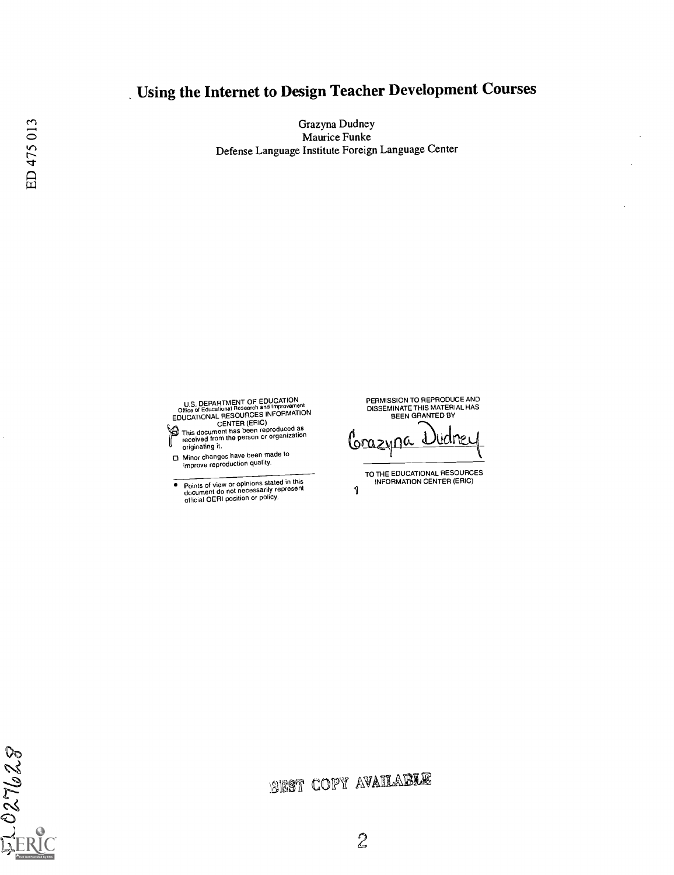## Using the Internet to Design Teacher Development Courses

Grazyna Dudney Maurice Funke Defense Language Institute Foreign Language Center

U.S. DEPARTMENT OF EDUCATION<br>
COME of Educational Research and Improvement<br>
EDUCATIONAL RESOURCES INFORMATION<br>
CENTER (ERIC)<br>
This document has been reproduced as<br>
received from the person or organization<br>
originating it.

- 
- Minor changes have been made to improve reproduction quality.
- . Points of view or opinions stated in this document do not necessarily represent official OERI position or policy.

PERMISSION TO REPRODUCE AND DISSEMINATE THIS MATERIAL HAS BEEN GRANTED BY

<u>Grazyna</u> l Klif

TO THE EDUCATIONAL RESOURCES INFORMATION CENTER (ERIC) 1

 $rac{1}{2}$  027628

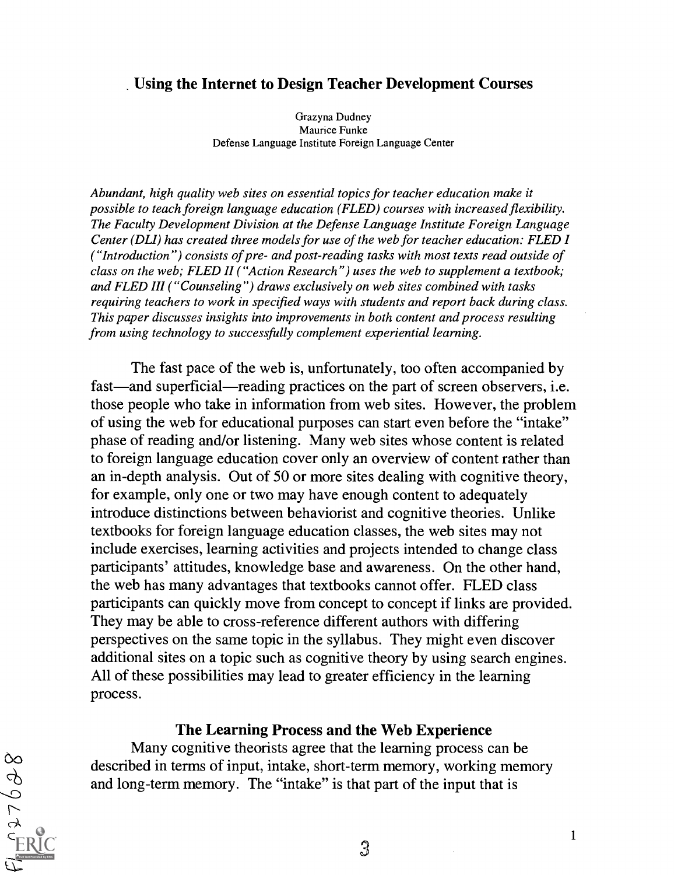### Using the Internet to Design Teacher Development Courses

Grazyna Dudney Maurice Funke Defense Language Institute Foreign Language Center

Abundant, high quality web sites on essential topics for teacher education make it possible to teach foreign language education (FLED) courses with increased flexibility. The Faculty Development Division at the Defense Language Institute Foreign Language Center (DLI) has created three models for use of the web for teacher education: FLED I ("Introduction") consists of pre- and post-reading tasks with most texts read outside of class on the web; FLED II ("Action Research") uses the web to supplement a textbook; and FLED III ("Counseling") draws exclusively on web sites combined with tasks requiring teachers to work in specified ways with students and report back during class. This paper discusses insights into improvements in both content and process resulting from using technology to successfully complement experiential learning.

The fast pace of the web is, unfortunately, too often accompanied by fast—and superficial—reading practices on the part of screen observers, i.e. those people who take in information from web sites. However, the problem of using the web for educational purposes can start even before the "intake" phase of reading and/or listening. Many web sites whose content is related to foreign language education cover only an overview of content rather than an in-depth analysis. Out of 50 or more sites dealing with cognitive theory, for example, only one or two may have enough content to adequately introduce distinctions between behaviorist and cognitive theories. Unlike textbooks for foreign language education classes, the web sites may not include exercises, learning activities and projects intended to change class participants' attitudes, knowledge base and awareness. On the other hand, the web has many advantages that textbooks cannot offer. FLED class participants can quickly move from concept to concept if links are provided. They may be able to cross-reference different authors with differing perspectives on the same topic in the syllabus. They might even discover additional sites on a topic such as cognitive theory by using search engines. All of these possibilities may lead to greater efficiency in the learning process.

#### The Learning Process and the Web Experience

Many cognitive theorists agree that the learning process can be described in terms of input, intake, short-term memory, working memory and long-term memory. The "intake" is that part of the input that is

 $869250$ 

3

1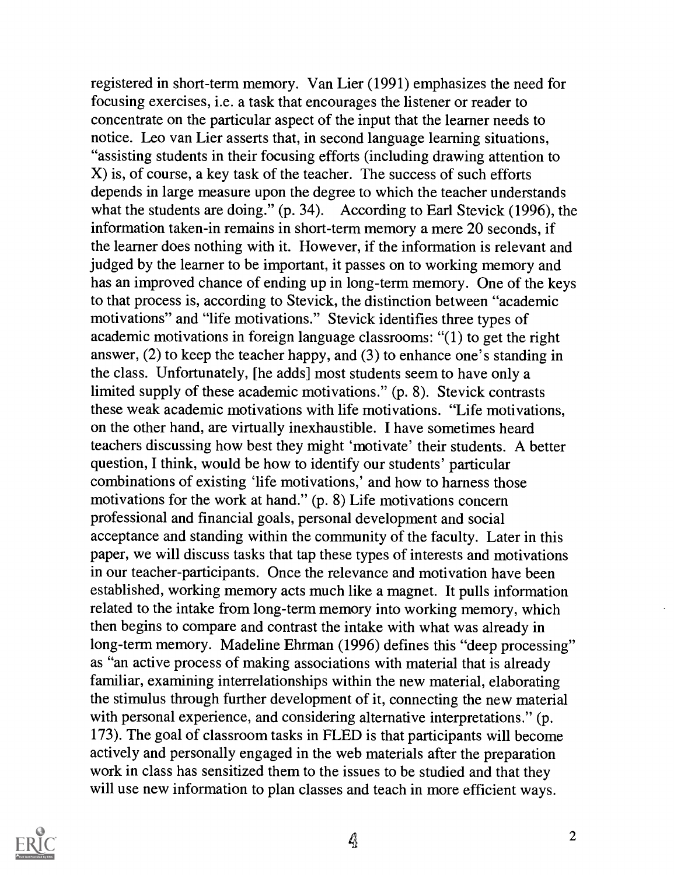registered in short-term memory. Van Lier (1991) emphasizes the need for focusing exercises, i.e. a task that encourages the listener or reader to concentrate on the particular aspect of the input that the learner needs to notice. Leo van Lier asserts that, in second language learning situations, "assisting students in their focusing efforts (including drawing attention to X) is, of course, a key task of the teacher. The success of such efforts depends in large measure upon the degree to which the teacher understands what the students are doing." (p. 34). According to Earl Stevick (1996), the information taken-in remains in short-term memory a mere 20 seconds, if the learner does nothing with it. However, if the information is relevant and judged by the learner to be important, it passes on to working memory and has an improved chance of ending up in long-term memory. One of the keys to that process is, according to Stevick, the distinction between "academic motivations" and "life motivations." Stevick identifies three types of academic motivations in foreign language classrooms: "(1) to get the right answer, (2) to keep the teacher happy, and (3) to enhance one's standing in the class. Unfortunately, [he adds] most students seem to have only a limited supply of these academic motivations." (p. 8). Stevick contrasts these weak academic motivations with life motivations. "Life motivations, on the other hand, are virtually inexhaustible. I have sometimes heard teachers discussing how best they might 'motivate' their students. A better question, I think, would be how to identify our students' particular combinations of existing 'life motivations,' and how to harness those motivations for the work at hand." (p. 8) Life motivations concern professional and financial goals, personal development and social acceptance and standing within the community of the faculty. Later in this paper, we will discuss tasks that tap these types of interests and motivations in our teacher-participants. Once the relevance and motivation have been established, working memory acts much like a magnet. It pulls information related to the intake from long-term memory into working memory, which then begins to compare and contrast the intake with what was already in long-term memory. Madeline Ehrman (1996) defines this "deep processing" as "an active process of making associations with material that is already familiar, examining interrelationships within the new material, elaborating the stimulus through further development of it, connecting the new material with personal experience, and considering alternative interpretations." (p. 173). The goal of classroom tasks in FLED is that participants will become actively and personally engaged in the web materials after the preparation work in class has sensitized them to the issues to be studied and that they will use new information to plan classes and teach in more efficient ways.

 $\frac{1}{2}$ 

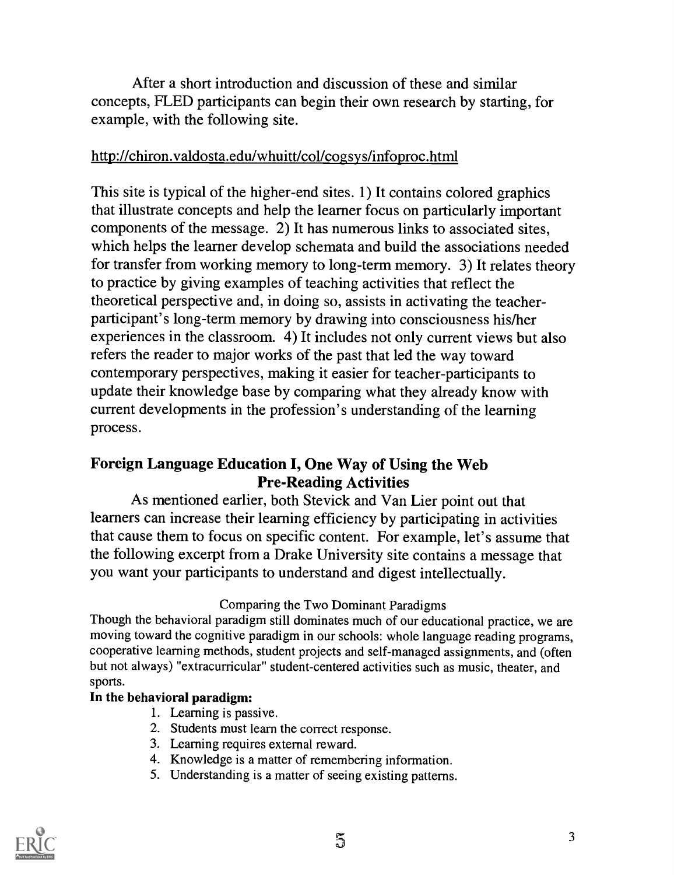After a short introduction and discussion of these and similar concepts, FLED participants can begin their own research by starting, for example, with the following site.

### http://chiron.valdosta.edu/whuitt/col/cogsys/infoproc.html

This site is typical of the higher-end sites. 1) It contains colored graphics that illustrate concepts and help the learner focus on particularly important components of the message. 2) It has numerous links to associated sites, which helps the learner develop schemata and build the associations needed for transfer from working memory to long-term memory. 3) It relates theory to practice by giving examples of teaching activities that reflect the theoretical perspective and, in doing so, assists in activating the teacher participant's long-term memory by drawing into consciousness his/her experiences in the classroom. 4) It includes not only current views but also refers the reader to major works of the past that led the way toward contemporary perspectives, making it easier for teacher-participants to update their knowledge base by comparing what they already know with current developments in the profession's understanding of the learning process.

## Foreign Language Education I, One Way of Using the Web Pre-Reading Activities

As mentioned earlier, both Stevick and Van Lier point out that learners can increase their learning efficiency by participating in activities that cause them to focus on specific content. For example, let's assume that the following excerpt from a Drake University site contains a message that you want your participants to understand and digest intellectually.

### Comparing the Two Dominant Paradigms

Though the behavioral paradigm still dominates much of our educational practice, we are moving toward the cognitive paradigm in our schools: whole language reading programs, cooperative learning methods, student projects and self-managed assignments, and (often but not always) "extracurricular" student-centered activities such as music, theater, and sports.

### In the behavioral paradigm:

- 1. Learning is passive.
- 2. Students must learn the correct response.
- 3. Learning requires external reward.
- 4. Knowledge is a matter of remembering information.
- 5. Understanding is a matter of seeing existing patterns.

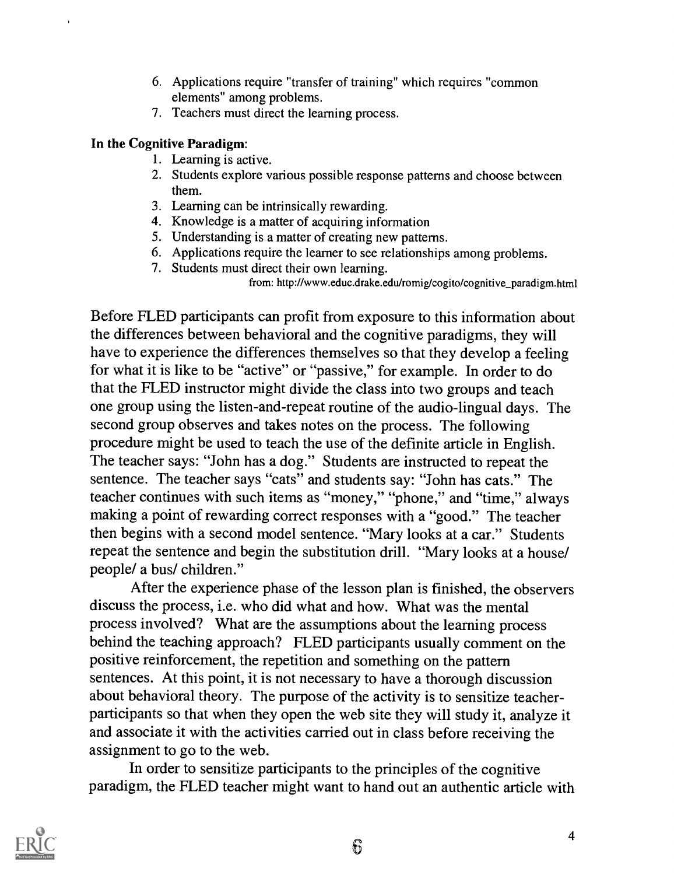- 6. Applications require "transfer of training" which requires "common elements" among problems.
- 7. Teachers must direct the learning process.

### In the Cognitive Paradigm:

- 1. Learning is active.
- 2. Students explore various possible response patterns and choose between them.
- 3. Learning can be intrinsically rewarding.
- 4. Knowledge is a matter of acquiring information
- 5. Understanding is a matter of creating new patterns.
- 6. Applications require the learner to see relationships among problems.
- 7. Students must direct their own learning.

from: http://www.educ.drake.edu/romig/cogito/cognitive\_paradigm.html

Before FLED participants can profit from exposure to this information about the differences between behavioral and the cognitive paradigms, they will have to experience the differences themselves so that they develop a feeling for what it is like to be "active" or "passive," for example. In order to do that the FLED instructor might divide the class into two groups and teach one group using the listen-and-repeat routine of the audio-lingual days. The second group observes and takes notes on the process. The following procedure might be used to teach the use of the definite article in English. The teacher says: "John has a dog." Students are instructed to repeat the sentence. The teacher says "cats" and students say: "John has cats." The teacher continues with such items as "money," "phone," and "time," always making a point of rewarding correct responses with a "good." The teacher then begins with a second model sentence. "Mary looks at a car." Students repeat the sentence and begin the substitution drill. "Mary looks at a house/ people/ a bus/ children."

After the experience phase of the lesson plan is finished, the observers discuss the process, i.e. who did what and how. What was the mental process involved? What are the assumptions about the learning process behind the teaching approach? FLED participants usually comment on the positive reinforcement, the repetition and something on the pattern sentences. At this point, it is not necessary to have a thorough discussion about behavioral theory. The purpose of the activity is to sensitize teacherparticipants so that when they open the web site they will study it, analyze it and associate it with the activities carried out in class before receiving the assignment to go to the web.

In order to sensitize participants to the principles of the cognitive paradigm, the FLED teacher might want to hand out an authentic article with

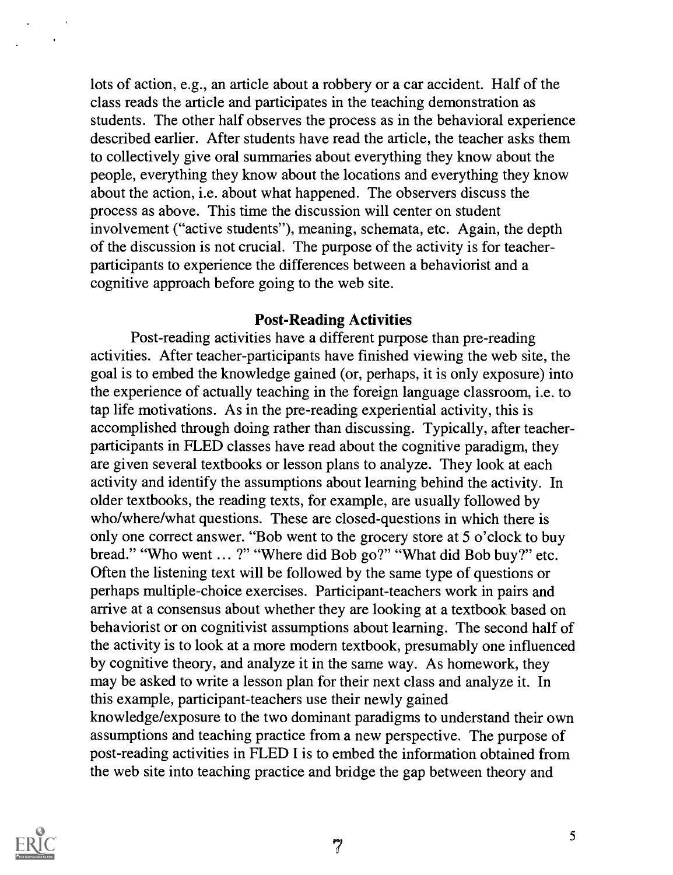lots of action, e.g., an article about a robbery or a car accident. Half of the class reads the article and participates in the teaching demonstration as students. The other half observes the process as in the behavioral experience described earlier. After students have read the article, the teacher asks them to collectively give oral summaries about everything they know about the people, everything they know about the locations and everything they know about the action, i.e. about what happened. The observers discuss the process as above. This time the discussion will center on student involvement ("active students"), meaning, schemata, etc. Again, the depth of the discussion is not crucial. The purpose of the activity is for teacherparticipants to experience the differences between a behaviorist and a cognitive approach before going to the web site.

#### Post-Reading Activities

Post-reading activities have a different purpose than pre-reading activities. After teacher-participants have finished viewing the web site, the goal is to embed the knowledge gained (or, perhaps, it is only exposure) into the experience of actually teaching in the foreign language classroom, i.e. to tap life motivations. As in the pre-reading experiential activity, this is accomplished through doing rather than discussing. Typically, after teacherparticipants in FLED classes have read about the cognitive paradigm, they are given several textbooks or lesson plans to analyze. They look at each activity and identify the assumptions about learning behind the activity. In older textbooks, the reading texts, for example, are usually followed by who/where/what questions. These are closed-questions in which there is only one correct answer. "Bob went to the grocery store at 5 o'clock to buy bread." "Who went ... ?" "Where did Bob go?" "What did Bob buy?" etc. Often the listening text will be followed by the same type of questions or perhaps multiple-choice exercises. Participant-teachers work in pairs and arrive at a consensus about whether they are looking at a textbook based on behaviorist or on cognitivist assumptions about learning. The second half of the activity is to look at a more modern textbook, presumably one influenced by cognitive theory, and analyze it in the same way. As homework, they may be asked to write a lesson plan for their next class and analyze it. In this example, participant-teachers use their newly gained knowledge/exposure to the two dominant paradigms to understand their own assumptions and teaching practice from a new perspective. The purpose of post-reading activities in FLED I is to embed the information obtained from the web site into teaching practice and bridge the gap between theory and



 $7<sup>7</sup>$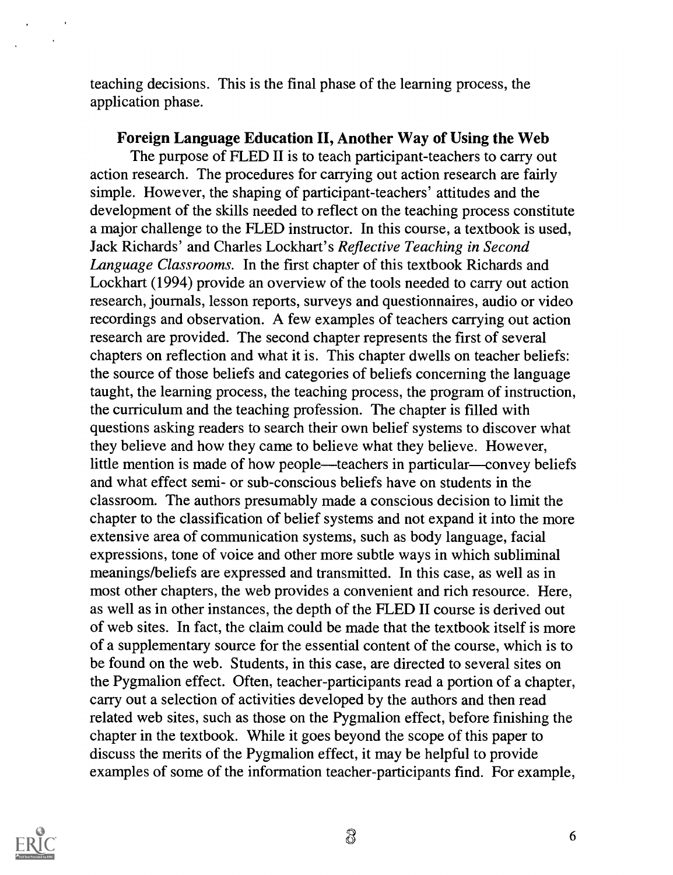teaching decisions. This is the final phase of the learning process, the application phase.

Foreign Language Education II, Another Way of Using the Web The purpose of FLED II is to teach participant-teachers to carry out action research. The procedures for carrying out action research are fairly simple. However, the shaping of participant-teachers' attitudes and the development of the skills needed to reflect on the teaching process constitute a major challenge to the FLED instructor. In this course, a textbook is used, Jack Richards' and Charles Lockhart's Reflective Teaching in Second Language Classrooms. In the first chapter of this textbook Richards and Lockhart (1994) provide an overview of the tools needed to carry out action research, journals, lesson reports, surveys and questionnaires, audio or video recordings and observation. A few examples of teachers carrying out action research are provided. The second chapter represents the first of several chapters on reflection and what it is. This chapter dwells on teacher beliefs: the source of those beliefs and categories of beliefs concerning the language taught, the learning process, the teaching process, the program of instruction, the curriculum and the teaching profession. The chapter is filled with questions asking readers to search their own belief systems to discover what they believe and how they came to believe what they believe. However, little mention is made of how people—teachers in particular—convey beliefs and what effect semi- or sub-conscious beliefs have on students in the classroom. The authors presumably made a conscious decision to limit the chapter to the classification of belief systems and not expand it into the more extensive area of communication systems, such as body language, facial expressions, tone of voice and other more subtle ways in which subliminal meanings/beliefs are expressed and transmitted. In this case, as well as in most other chapters, the web provides a convenient and rich resource. Here, as well as in other instances, the depth of the FLED II course is derived out of web sites. In fact, the claim could be made that the textbook itself is more of a supplementary source for the essential content of the course, which is to be found on the web. Students, in this case, are directed to several sites on the Pygmalion effect. Often, teacher-participants read a portion of a chapter, carry out a selection of activities developed by the authors and then read related web sites, such as those on the Pygmalion effect, before finishing the chapter in the textbook. While it goes beyond the scope of this paper to discuss the merits of the Pygmalion effect, it may be helpful to provide examples of some of the information teacher-participants find. For example,



 $\ddot{\phantom{1}}$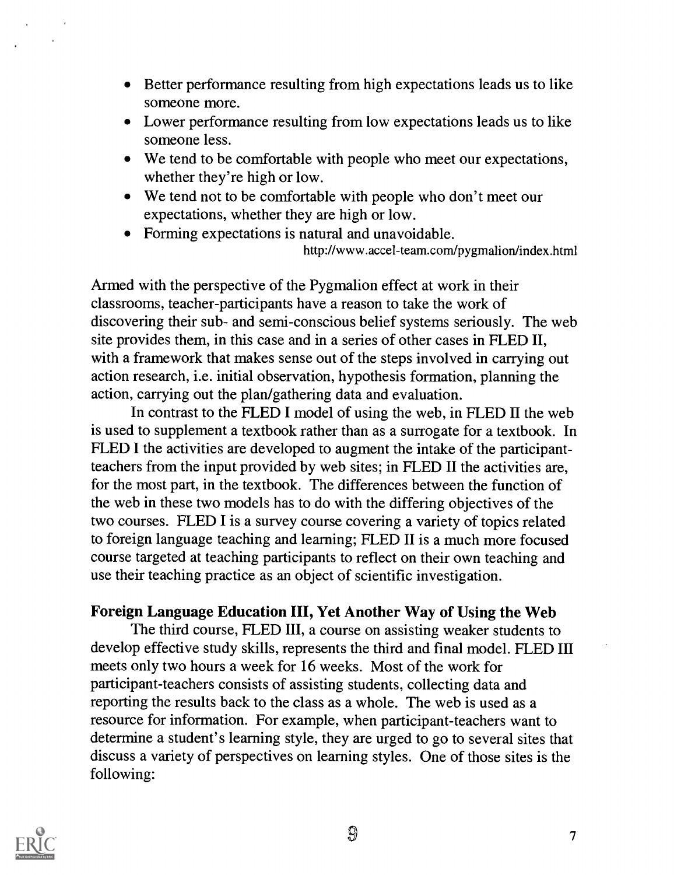- Better performance resulting from high expectations leads us to like someone more.
- Lower performance resulting from low expectations leads us to like someone less.
- We tend to be comfortable with people who meet our expectations, whether they're high or low.
- We tend not to be comfortable with people who don't meet our expectations, whether they are high or low.
- Forming expectations is natural and unavoidable. http://www.accel-team.com/pygmalion/index.html

Armed with the perspective of the Pygmalion effect at work in their classrooms, teacher-participants have a reason to take the work of discovering their sub- and semi-conscious belief systems seriously. The web site provides them, in this case and in a series of other cases in FLED II, with a framework that makes sense out of the steps involved in carrying out action research, i.e. initial observation, hypothesis formation, planning the action, carrying out the plan/gathering data and evaluation.

In contrast to the FLED I model of using the web, in FLED II the web is used to supplement a textbook rather than as a surrogate for a textbook. In FLED I the activities are developed to augment the intake of the participantteachers from the input provided by web sites; in FLED II the activities are, for the most part, in the textbook. The differences between the function of the web in these two models has to do with the differing objectives of the two courses. FLED I is a survey course covering a variety of topics related to foreign language teaching and learning; FLED II is a much more focused course targeted at teaching participants to reflect on their own teaching and use their teaching practice as an object of scientific investigation.

## Foreign Language Education III, Yet Another Way of Using the Web

The third course, FLED III, a course on assisting weaker students to develop effective study skills, represents the third and final model. FLED III meets only two hours a week for 16 weeks. Most of the work for participant-teachers consists of assisting students, collecting data and reporting the results back to the class as a whole. The web is used as a resource for information. For example, when participant-teachers want to determine a student's learning style, they are urged to go to several sites that discuss a variety of perspectives on learning styles. One of those sites is the following:



 $\mathfrak{P}$  7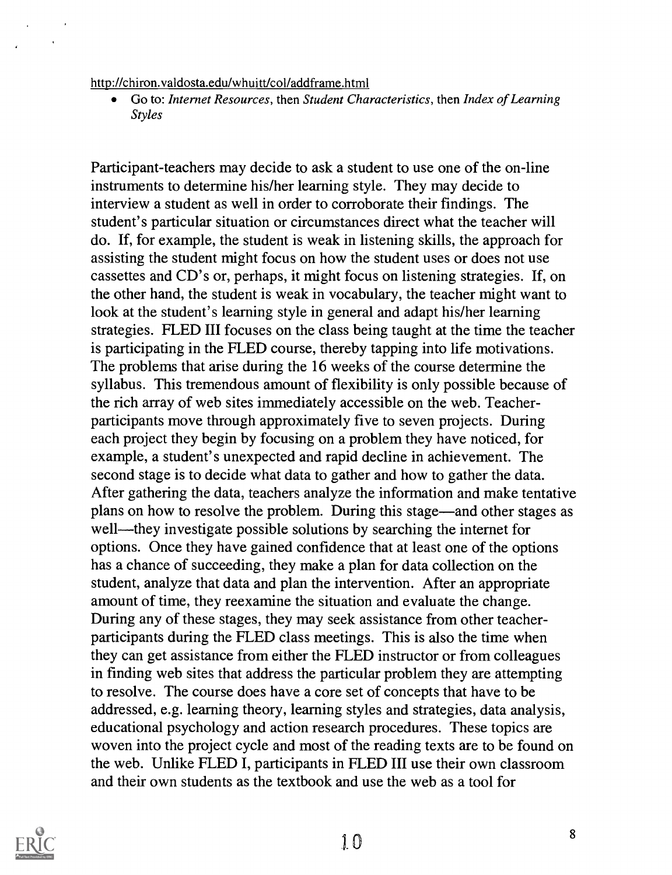#### http://chiron.valdosta.edu/whuitt/col/addframe.html

Go to: Internet Resources, then Student Characteristics, then Index of Learning  $\bullet$ Styles

Participant-teachers may decide to ask a student to use one of the on-line instruments to determine his/her learning style. They may decide to interview a student as well in order to corroborate their findings. The student's particular situation or circumstances direct what the teacher will do. If, for example, the student is weak in listening skills, the approach for assisting the student might focus on how the student uses or does not use cassettes and CD's or, perhaps, it might focus on listening strategies. If, on the other hand, the student is weak in vocabulary, the teacher might want to look at the student's learning style in general and adapt his/her learning strategies. FLED III focuses on the class being taught at the time the teacher is participating in the FLED course, thereby tapping into life motivations. The problems that arise during the 16 weeks of the course determine the syllabus. This tremendous amount of flexibility is only possible because of the rich array of web sites immediately accessible on the web. Teacherparticipants move through approximately five to seven projects. During each project they begin by focusing on a problem they have noticed, for example, a student's unexpected and rapid decline in achievement. The second stage is to decide what data to gather and how to gather the data. After gathering the data, teachers analyze the information and make tentative plans on how to resolve the problem. During this stage—and other stages as well—they investigate possible solutions by searching the internet for options. Once they have gained confidence that at least one of the options has a chance of succeeding, they make a plan for data collection on the student, analyze that data and plan the intervention. After an appropriate amount of time, they reexamine the situation and evaluate the change. During any of these stages, they may seek assistance from other teacherparticipants during the FLED class meetings. This is also the time when they can get assistance from either the FLED instructor or from colleagues in finding web sites that address the particular problem they are attempting to resolve. The course does have a core set of concepts that have to be addressed, e.g. learning theory, learning styles and strategies, data analysis, educational psychology and action research procedures. These topics are woven into the project cycle and most of the reading texts are to be found on the web. Unlike FLED I, participants in FLED III use their own classroom and their own students as the textbook and use the web as a tool for



 $\bar{a}$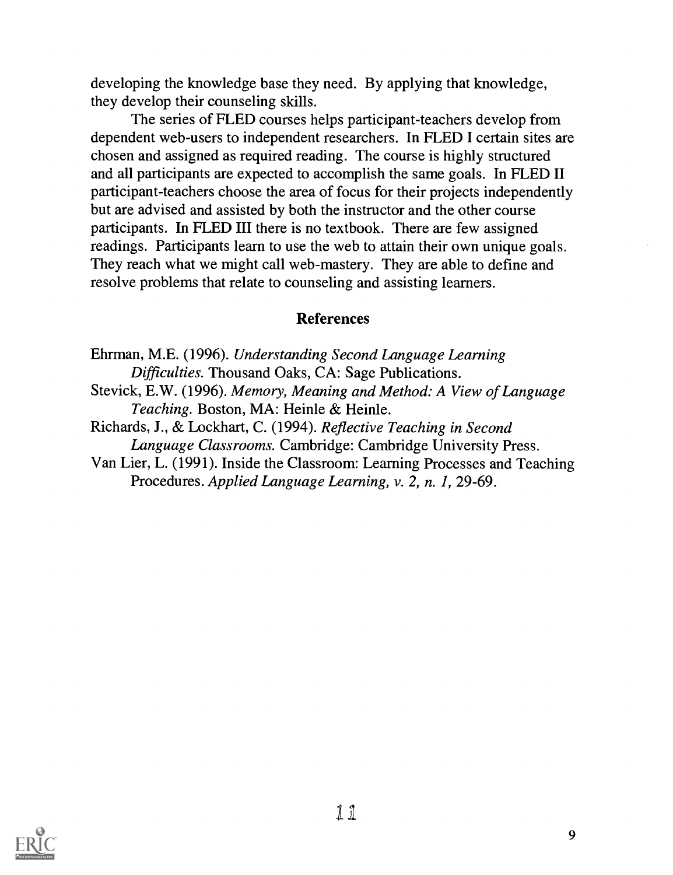developing the knowledge base they need. By applying that knowledge, they develop their counseling skills.

The series of FLED courses helps participant-teachers develop from dependent web-users to independent researchers. In FLED I certain sites are chosen and assigned as required reading. The course is highly structured and all participants are expected to accomplish the same goals. In FLED II participant-teachers choose the area of focus for their projects independently but are advised and assisted by both the instructor and the other course participants. In FLED III there is no textbook. There are few assigned readings. Participants learn to use the web to attain their own unique goals. They reach what we might call web-mastery. They are able to define and resolve problems that relate to counseling and assisting learners.

### References

Ehrman, M.E. (1996). Understanding Second Language Learning Difficulties. Thousand Oaks, CA: Sage Publications.

Stevick, E.W. (1996). Memory, Meaning and Method: A View of Language Teaching. Boston, MA: Heinle & Heinle.

Richards, J., & Lockhart, C. (1994). Reflective Teaching in Second Language Classrooms. Cambridge: Cambridge University Press.

Van Lier, L. (1991). Inside the Classroom: Learning Processes and Teaching Procedures. Applied Language Learning, v. 2, n. 1, 29-69.

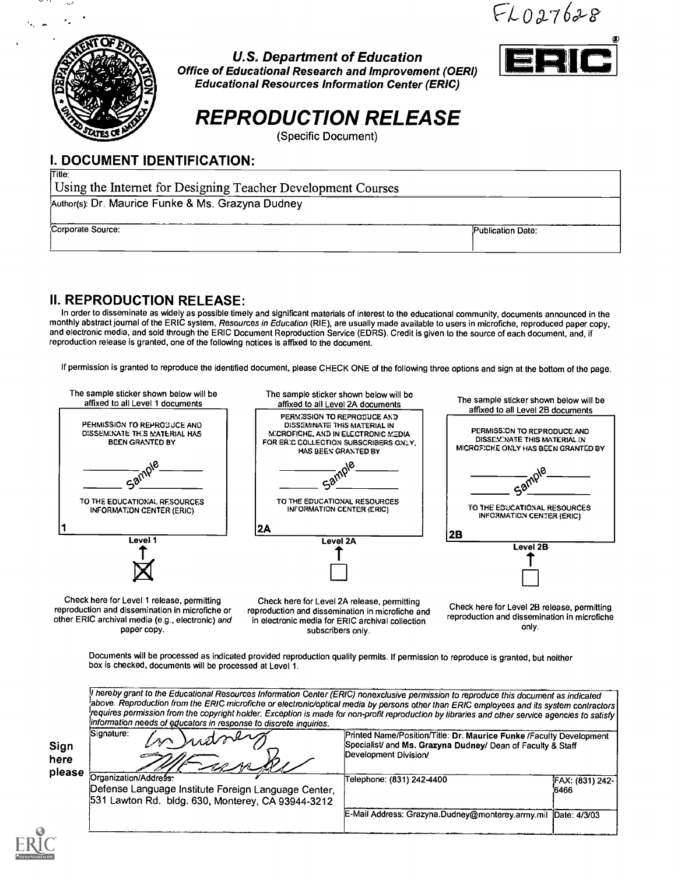$FLO27628$ 



U.S. Department of Education Office of Educational Research and Improvement (OERI) Educational Resources Information Center (ERIC)

# REPRODUCTION RELEASE

(Specific Document)

### I. DOCUMENT IDENTIFICATION:

Title:

Using the Internet for Designing Teacher Development Courses Author(s): Dr. Maurice Funke & Ms. Grazyna Dudney

Corporate Source: Publication Date:

### II. REPRODUCTION RELEASE:

In order to disseminate as widely as possible timely and significant materials of interest to the educational community, documents announced in the monthly abstract journal of the ERIC system, Resources in Education (RIE), are usually made available to users in microfiche, reproduced paper copy, and electronic media, and sold through the ERIC Document Reproduction Service (EDRS). Credit is given to the source of each document, and, if reproduction release is granted, one of the following notices is affixed to the document.

If permission is granted to reproduce the identified document, please CHECK ONE of the following three options and sign at the bottom of the page.



other ERIC archival media (e.g., electronic) and paper copy.

reproduction and dissemination in microfiche and in electronic media for ERIC archival collection subscribers only.

reproduction and dissemination in microfiche only.

Documents will be processed as indicated provided reproduction quality permits. If permission to reproduce is granted, but neither box is checked, documents will be processed at Level 1.

|                        | above. Reproduction from the ERIC microfiche or electronic/optical media by persons other than ERIC employees and its system contractors<br>requires permission from the copyright holder. Exception is made for non-profit reproduction by libraries and other service agencies to satisfy<br>information needs of educators in response to discrete inquiries. |                                                                                                                                                             |                         |  |  |  |
|------------------------|------------------------------------------------------------------------------------------------------------------------------------------------------------------------------------------------------------------------------------------------------------------------------------------------------------------------------------------------------------------|-------------------------------------------------------------------------------------------------------------------------------------------------------------|-------------------------|--|--|--|
| Sign<br>here<br>please | Signature:<br>n Judney                                                                                                                                                                                                                                                                                                                                           | Printed Name/Position/Title: Dr. Maurice Funke /Faculty Development<br>Specialist/ and Ms. Grazyna Dudney/ Dean of Faculty & Staff<br>Development Division/ |                         |  |  |  |
|                        | Organization/Address:<br>Defense Language Institute Foreign Language Center,<br>531 Lawton Rd. bldg. 630, Monterey, CA 93944-3212                                                                                                                                                                                                                                | Telephone: (831) 242-4400                                                                                                                                   | FAX: (831) 242-<br>6466 |  |  |  |
|                        |                                                                                                                                                                                                                                                                                                                                                                  | E-Mail Address: Grazyna.Dudney@monterey.army.mil                                                                                                            | Date: 4/3/03            |  |  |  |